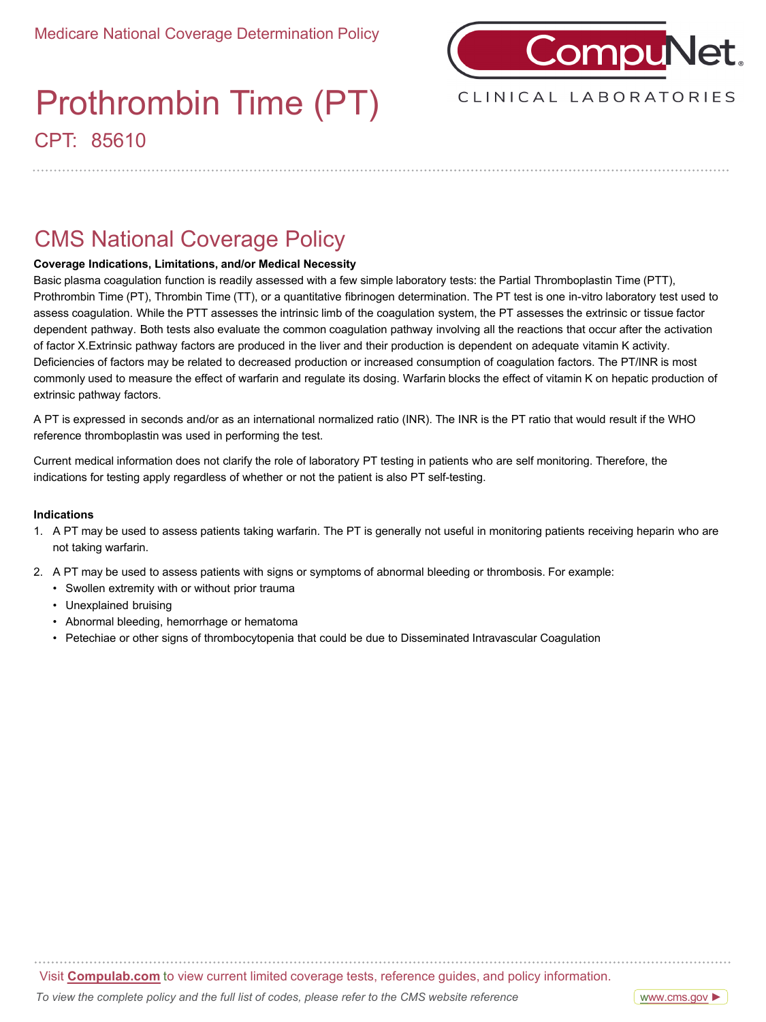

### CPT: 85610 Prothrombin Time (PT)

CLINICAL LABORATORIES

### CMS National Coverage Policy

### **Coverage Indications, Limitations, and/or Medical Necessity**

Basic plasma coagulation function is readily assessed with a few simple laboratory tests: the Partial Thromboplastin Time (PTT), Prothrombin Time (PT), Thrombin Time (TT), or a quantitative fibrinogen determination. The PT test is one in-vitro laboratory test used to assess coagulation. While the PTT assesses the intrinsic limb of the coagulation system, the PT assesses the extrinsic or tissue factor dependent pathway. Both tests also evaluate the common coagulation pathway involving all the reactions that occur after the activation of factor X.Extrinsic pathway factors are produced in the liver and their production is dependent on adequate vitamin K activity. Deficiencies of factors may be related to decreased production or increased consumption of coagulation factors. The PT/INR is most commonly used to measure the effect of warfarin and regulate its dosing. Warfarin blocks the effect of vitamin K on hepatic production of extrinsic pathway factors.

A PT is expressed in seconds and/or as an international normalized ratio (INR). The INR is the PT ratio that would result if the WHO reference thromboplastin was used in performing the test.

Current medical information does not clarify the role of laboratory PT testing in patients who are self monitoring. Therefore, the indications for testing apply regardless of whether or not the patient is also PT self-testing.

### **Indications**

- 1. A PT may be used to assess patients taking warfarin. The PT is generally not useful in monitoring patients receiving heparin who are not taking warfarin.
- 2. A PT may be used to assess patients with signs or symptoms of abnormal bleeding or thrombosis. For example:
	- Swollen extremity with or without prior trauma
	- Unexplained bruising
	- Abnormal bleeding, hemorrhage or hematoma
	- Petechiae or other signs of thrombocytopenia that could be due to Disseminated Intravascular Coagulation

Visit **Compulab.com** to view current limited coverage tests, reference guides, and policy information.

[www.cms.gov](https://www.questdiagnostics.com/dms/Documents/mlcp/National-Guides/2019300-ICD-10-NCD-Manual-20190509-508/2020300_ICD_10_NCD_Manual_20200407_508.pdf) ►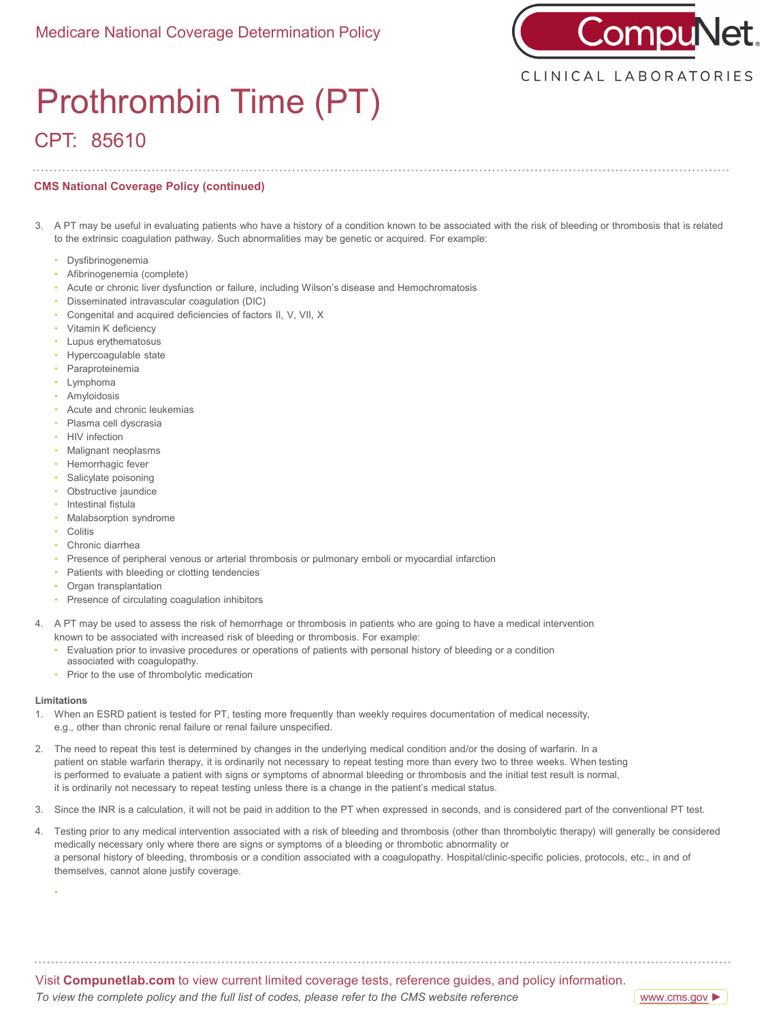

# CPT: 85610 Prothrombin Time (PT)

#### **CMS National Coverage Policy (continued)**

- 3. A PT may be useful in evaluating patients who have a history of a condition known to be associated with the risk of bleeding or thrombosis that is related to the extrinsic coagulation pathway. Such abnormalities may be genetic or acquired. For example:
	- Dysfibrinogenemia
	- Afibrinogenemia (complete)
	- Acute or chronic liver dysfunction or failure, including Wilson's disease and Hemochromatosis
	- Disseminated intravascular coagulation (DIC)
	- Congenital and acquired deficiencies of factors II, V, VII, X
	- Vitamin K deficiency
	- Lupus erythematosus
	- Hypercoagulable state
	- Paraproteinemia
	- Lymphoma
	- Amyloidosis
	- Acute and chronic leukemias
	- Plasma cell dyscrasia
	- HIV infection
	- Malignant neoplasms
	- Hemorrhagic fever
	- Salicylate poisoning
	- Obstructive jaundice
	- Intestinal fistula
	- Malabsorption syndrome
	- Colitis
	- Chronic diarrhea
	- Presence of peripheral venous or arterial thrombosis or pulmonary emboli or myocardial infarction
	- Patients with bleeding or clotting tendencies
	- Organ transplantation
	- Presence of circulating coagulation inhibitors
- 4. A PT may be used to assess the risk of hemorrhage or thrombosis in patients who are going to have a medical intervention known to be associated with increased risk of bleeding or thrombosis. For example:
	- Evaluation prior to invasive procedures or operations of patients with personal history of bleeding or a condition
	- associated with coagulopathy.
	- Prior to the use of thrombolytic medication

#### **Limitations**

•

- 1. When an ESRD patient is tested for PT, testing more frequently than weekly requires documentation of medical necessity, e.g., other than chronic renal failure or renal failure unspecified.
- 2. The need to repeat this test is determined by changes in the underlying medical condition and/or the dosing of warfarin. In a patient on stable warfarin therapy, it is ordinarily not necessary to repeat testing more than every two to three weeks. When testing is performed to evaluate a patient with signs or symptoms of abnormal bleeding or thrombosis and the initial test result is normal, it is ordinarily not necessary to repeat testing unless there is a change in the patient's medical status.
- 3. Since the INR is a calculation, it will not be paid in addition to the PT when expressed in seconds, and is considered part of the conventional PT test.
- 4. Testing prior to any medical intervention associated with a risk of bleeding and thrombosis (other than thrombolytic therapy) will generally be considered medically necessary only where there are signs or symptoms of a bleeding or thrombotic abnormality or a personal history of bleeding, thrombosis or a condition associated with a coagulopathy. Hospital/clinic-specific policies, protocols, etc., in and of themselves, cannot alone justify coverage.

Visit **Compunetlab.com** to view current limited coverage tests, reference guides, and policy information.

*To view the complete policy and the full list of codes, please refer to the CMS website reference*

[www.cms.gov](https://www.questdiagnostics.com/dms/Documents/mlcp/National-Guides/2019300-ICD-10-NCD-Manual-20190509-508/2020300_ICD_10_NCD_Manual_20200407_508.pdf) ►